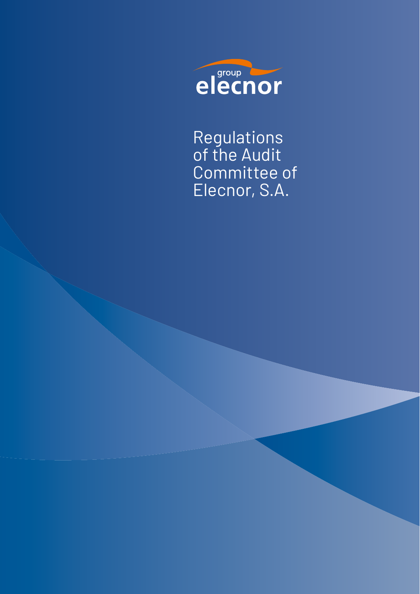

Regulations of the Audit Committee of Elecnor, S.A.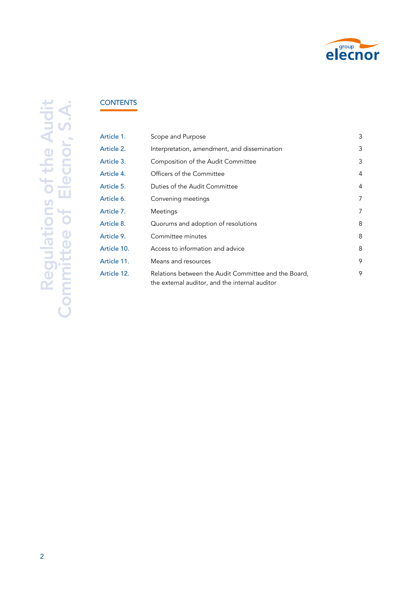

# **CONTENTS**

| Article 1.  | Scope and Purpose                                                                                      | 3 |
|-------------|--------------------------------------------------------------------------------------------------------|---|
| Article 2.  | Interpretation, amendment, and dissemination                                                           | 3 |
| Article 3.  | Composition of the Audit Committee                                                                     | 3 |
| Article 4.  | Officers of the Committee                                                                              | 4 |
| Article 5.  | Duties of the Audit Committee                                                                          | 4 |
| Article 6.  | Convening meetings                                                                                     | 7 |
| Article 7.  | Meetings                                                                                               | 7 |
| Article 8.  | Quorums and adoption of resolutions                                                                    | 8 |
| Article 9.  | Committee minutes                                                                                      | 8 |
| Article 10. | Access to information and advice                                                                       | 8 |
| Article 11. | Means and resources                                                                                    | 9 |
| Article 12. | Relations between the Audit Committee and the Board,<br>the external auditor, and the internal auditor | 9 |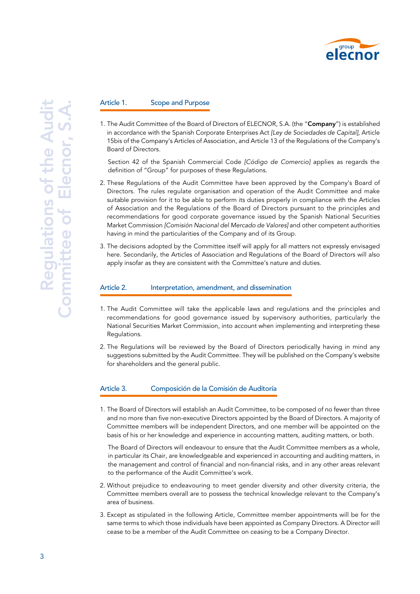

### Article 1. Scope and Purpose

1. The Audit Committee of the Board of Directors of ELECNOR, S.A. (the "Company") is established in accordance with the Spanish Corporate Enterprises Act *[Ley de Sociedades de Capital],* Article 15bis of the Company's Articles of Association, and Article 13 of the Regulations of the Company's Board of Directors.

Section 42 of the Spanish Commercial Code *[Código de Comercio]* applies as regards the definition of "Group" for purposes of these Regulations.

- 2. These Regulations of the Audit Committee have been approved by the Company's Board of Directors. The rules regulate organisation and operation of the Audit Committee and make suitable provision for it to be able to perform its duties properly in compliance with the Articles of Association and the Regulations of the Board of Directors pursuant to the principles and recommendations for good corporate governance issued by the Spanish National Securities Market Commission *[Comisión Nacional del Mercado de Valores]* and other competent authorities having in mind the particularities of the Company and of its Group.
- 3. The decisions adopted by the Committee itself will apply for all matters not expressly envisaged here. Secondarily, the Articles of Association and Regulations of the Board of Directors will also apply insofar as they are consistent with the Committee's nature and duties.

#### Article 2. Interpretation, amendment, and dissemination

- 1. The Audit Committee will take the applicable laws and regulations and the principles and recommendations for good governance issued by supervisory authorities, particularly the National Securities Market Commission, into account when implementing and interpreting these Regulations.
- 2. The Regulations will be reviewed by the Board of Directors periodically having in mind any suggestions submitted by the Audit Committee. They will be published on the Company's website for shareholders and the general public.

#### Article 3. Composición de la Comisión de Auditoría

1. The Board of Directors will establish an Audit Committee, to be composed of no fewer than three and no more than five non-executive Directors appointed by the Board of Directors. A majority of Committee members will be independent Directors, and one member will be appointed on the basis of his or her knowledge and experience in accounting matters, auditing matters, or both.

The Board of Directors will endeavour to ensure that the Audit Committee members as a whole, in particular its Chair, are knowledgeable and experienced in accounting and auditing matters, in the management and control of financial and non-financial risks, and in any other areas relevant to the performance of the Audit Committee's work.

- 2. Without prejudice to endeavouring to meet gender diversity and other diversity criteria, the Committee members overall are to possess the technical knowledge relevant to the Company's area of business.
- 3. Except as stipulated in the following Article, Committee member appointments will be for the same terms to which those individuals have been appointed as Company Directors. A Director will cease to be a member of the Audit Committee on ceasing to be a Company Director.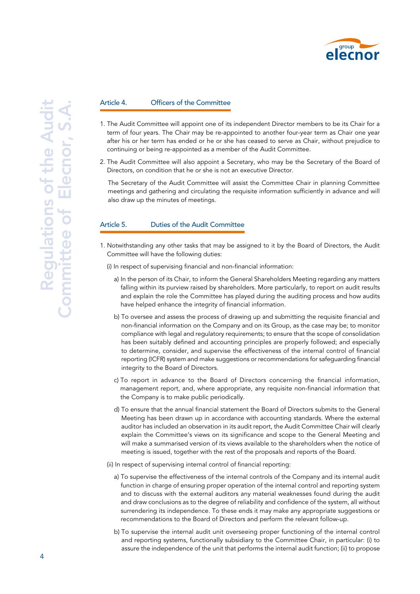

#### Article 4. Officers of the Committee

- 1. The Audit Committee will appoint one of its independent Director members to be its Chair for a term of four years. The Chair may be re-appointed to another four-year term as Chair one year after his or her term has ended or he or she has ceased to serve as Chair, without prejudice to continuing or being re-appointed as a member of the Audit Committee.
- 2. The Audit Committee will also appoint a Secretary, who may be the Secretary of the Board of Directors, on condition that he or she is not an executive Director.

The Secretary of the Audit Committee will assist the Committee Chair in planning Committee meetings and gathering and circulating the requisite information sufficiently in advance and will also draw up the minutes of meetings.

## Article 5. Duties of the Audit Committee

- 1. Notwithstanding any other tasks that may be assigned to it by the Board of Directors, the Audit Committee will have the following duties:
	- (i) In respect of supervising financial and non-financial information:
		- a) In the person of its Chair, to inform the General Shareholders Meeting regarding any matters falling within its purview raised by shareholders. More particularly, to report on audit results and explain the role the Committee has played during the auditing process and how audits have helped enhance the integrity of financial information.
		- b) To oversee and assess the process of drawing up and submitting the requisite financial and non-financial information on the Company and on its Group, as the case may be; to monitor compliance with legal and regulatory requirements; to ensure that the scope of consolidation has been suitably defined and accounting principles are properly followed; and especially to determine, consider, and supervise the effectiveness of the internal control of financial reporting (ICFR) system and make suggestions or recommendations for safeguarding financial integrity to the Board of Directors.
		- c) To report in advance to the Board of Directors concerning the financial information, management report, and, where appropriate, any requisite non-financial information that the Company is to make public periodically.
		- d) To ensure that the annual financial statement the Board of Directors submits to the General Meeting has been drawn up in accordance with accounting standards. Where the external auditor has included an observation in its audit report, the Audit Committee Chair will clearly explain the Committee's views on its significance and scope to the General Meeting and will make a summarised version of its views available to the shareholders when the notice of meeting is issued, together with the rest of the proposals and reports of the Board.
	- (ii) In respect of supervising internal control of financial reporting:
		- a) To supervise the effectiveness of the internal controls of the Company and its internal audit function in charge of ensuring proper operation of the internal control and reporting system and to discuss with the external auditors any material weaknesses found during the audit and draw conclusions as to the degree of reliability and confidence of the system, all without surrendering its independence. To these ends it may make any appropriate suggestions or recommendations to the Board of Directors and perform the relevant follow-up.
		- b) To supervise the internal audit unit overseeing proper functioning of the internal control and reporting systems, functionally subsidiary to the Committee Chair, in particular: (i) to assure the independence of the unit that performs the internal audit function; (ii) to propose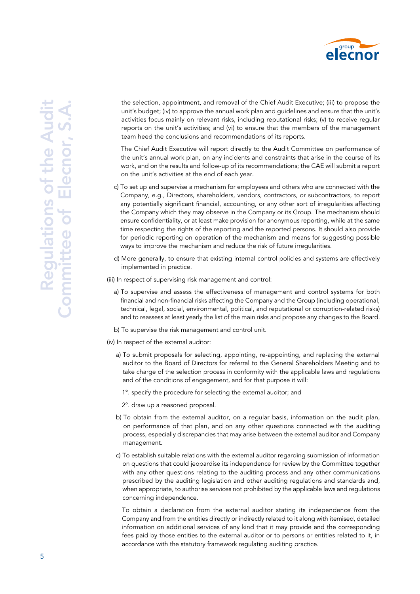

the selection, appointment, and removal of the Chief Audit Executive; (iii) to propose the unit's budget; (iv) to approve the annual work plan and guidelines and ensure that the unit's activities focus mainly on relevant risks, including reputational risks; (v) to receive regular reports on the unit's activities; and (vi) to ensure that the members of the management team heed the conclusions and recommendations of its reports.

The Chief Audit Executive will report directly to the Audit Committee on performance of the unit's annual work plan, on any incidents and constraints that arise in the course of its work, and on the results and follow-up of its recommendations; the CAE will submit a report on the unit's activities at the end of each year.

- c) To set up and supervise a mechanism for employees and others who are connected with the Company, e.g., Directors, shareholders, vendors, contractors, or subcontractors, to report any potentially significant financial, accounting, or any other sort of irregularities affecting the Company which they may observe in the Company or its Group. The mechanism should ensure confidentiality, or at least make provision for anonymous reporting, while at the same time respecting the rights of the reporting and the reported persons. It should also provide for periodic reporting on operation of the mechanism and means for suggesting possible ways to improve the mechanism and reduce the risk of future irregularities.
- d) More generally, to ensure that existing internal control policies and systems are effectively implemented in practice.
- (iii) In respect of supervising risk management and control:
	- a) To supervise and assess the effectiveness of management and control systems for both financial and non-financial risks affecting the Company and the Group (including operational, technical, legal, social, environmental, political, and reputational or corruption-related risks) and to reassess at least yearly the list of the main risks and propose any changes to the Board.
	- b) To supervise the risk management and control unit.
- (iv) In respect of the external auditor:
	- a) To submit proposals for selecting, appointing, re-appointing, and replacing the external auditor to the Board of Directors for referral to the General Shareholders Meeting and to take charge of the selection process in conformity with the applicable laws and regulations and of the conditions of engagement, and for that purpose it will:
		- 1º. specify the procedure for selecting the external auditor; and
		- 2º. draw up a reasoned proposal.
	- b) To obtain from the external auditor, on a regular basis, information on the audit plan, on performance of that plan, and on any other questions connected with the auditing process, especially discrepancies that may arise between the external auditor and Company management.
	- c) To establish suitable relations with the external auditor regarding submission of information on questions that could jeopardise its independence for review by the Committee together with any other questions relating to the auditing process and any other communications prescribed by the auditing legislation and other auditing regulations and standards and, when appropriate, to authorise services not prohibited by the applicable laws and regulations concerning independence.

To obtain a declaration from the external auditor stating its independence from the Company and from the entities directly or indirectly related to it along with itemised, detailed information on additional services of any kind that it may provide and the corresponding fees paid by those entities to the external auditor or to persons or entities related to it, in accordance with the statutory framework regulating auditing practice.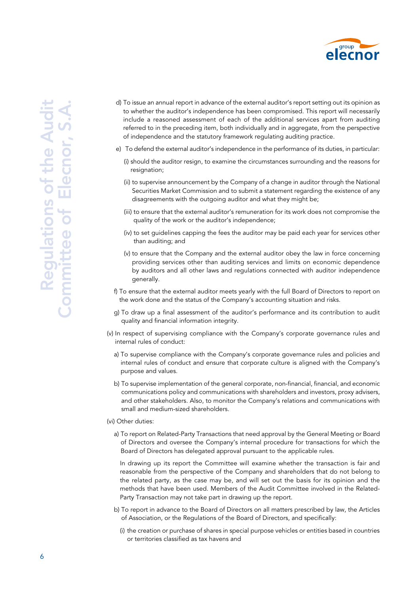

- d) To issue an annual report in advance of the external auditor's report setting out its opinion as to whether the auditor's independence has been compromised. This report will necessarily include a reasoned assessment of each of the additional services apart from auditing referred to in the preceding item, both individually and in aggregate, from the perspective of independence and the statutory framework regulating auditing practice.
- e) To defend the external auditor's independence in the performance of its duties, in particular:
	- (i) should the auditor resign, to examine the circumstances surrounding and the reasons for resignation;
	- (ii) to supervise announcement by the Company of a change in auditor through the National Securities Market Commission and to submit a statement regarding the existence of any disagreements with the outgoing auditor and what they might be;
	- (iii) to ensure that the external auditor's remuneration for its work does not compromise the quality of the work or the auditor's independence;
	- (iv) to set guidelines capping the fees the auditor may be paid each year for services other than auditing; and
	- (v) to ensure that the Company and the external auditor obey the law in force concerning providing services other than auditing services and limits on economic dependence by auditors and all other laws and regulations connected with auditor independence generally.
- f) To ensure that the external auditor meets yearly with the full Board of Directors to report on the work done and the status of the Company's accounting situation and risks.
- g) To draw up a final assessment of the auditor's performance and its contribution to audit quality and financial information integrity.
- (v) In respect of supervising compliance with the Company's corporate governance rules and internal rules of conduct:
	- a) To supervise compliance with the Company's corporate governance rules and policies and internal rules of conduct and ensure that corporate culture is aligned with the Company's purpose and values.
	- b) To supervise implementation of the general corporate, non-financial, financial, and economic communications policy and communications with shareholders and investors, proxy advisers, and other stakeholders. Also, to monitor the Company's relations and communications with small and medium-sized shareholders.

#### (vi) Other duties:

a) To report on Related-Party Transactions that need approval by the General Meeting or Board of Directors and oversee the Company's internal procedure for transactions for which the Board of Directors has delegated approval pursuant to the applicable rules.

In drawing up its report the Committee will examine whether the transaction is fair and reasonable from the perspective of the Company and shareholders that do not belong to the related party, as the case may be, and will set out the basis for its opinion and the methods that have been used. Members of the Audit Committee involved in the Related-Party Transaction may not take part in drawing up the report.

- b) To report in advance to the Board of Directors on all matters prescribed by law, the Articles of Association, or the Regulations of the Board of Directors, and specifically:
	- (i) the creation or purchase of shares in special purpose vehicles or entities based in countries or territories classified as tax havens and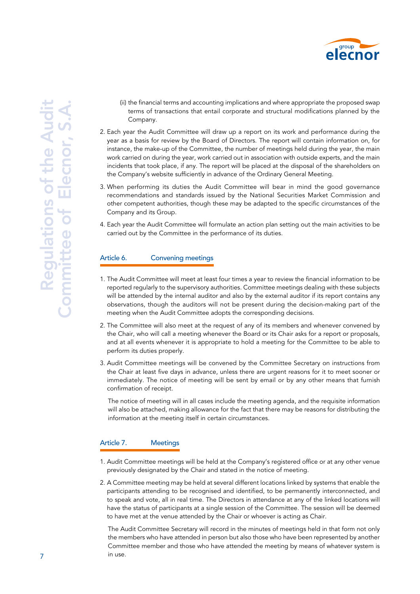

- (ii) the financial terms and accounting implications and where appropriate the proposed swap terms of transactions that entail corporate and structural modifications planned by the Company.
- 2. Each year the Audit Committee will draw up a report on its work and performance during the year as a basis for review by the Board of Directors. The report will contain information on, for instance, the make-up of the Committee, the number of meetings held during the year, the main work carried on during the year, work carried out in association with outside experts, and the main incidents that took place, if any. The report will be placed at the disposal of the shareholders on the Company's website sufficiently in advance of the Ordinary General Meeting.
- 3. When performing its duties the Audit Committee will bear in mind the good governance recommendations and standards issued by the National Securities Market Commission and other competent authorities, though these may be adapted to the specific circumstances of the Company and its Group.
- 4. Each year the Audit Committee will formulate an action plan setting out the main activities to be carried out by the Committee in the performance of its duties.

## Article 6. Convening meetings

- 1. The Audit Committee will meet at least four times a year to review the financial information to be reported regularly to the supervisory authorities. Committee meetings dealing with these subjects will be attended by the internal auditor and also by the external auditor if its report contains any observations, though the auditors will not be present during the decision-making part of the meeting when the Audit Committee adopts the corresponding decisions.
- 2. The Committee will also meet at the request of any of its members and whenever convened by the Chair, who will call a meeting whenever the Board or its Chair asks for a report or proposals, and at all events whenever it is appropriate to hold a meeting for the Committee to be able to perform its duties properly.
- 3. Audit Committee meetings will be convened by the Committee Secretary on instructions from the Chair at least five days in advance, unless there are urgent reasons for it to meet sooner or immediately. The notice of meeting will be sent by email or by any other means that furnish confirmation of receipt.

The notice of meeting will in all cases include the meeting agenda, and the requisite information will also be attached, making allowance for the fact that there may be reasons for distributing the information at the meeting itself in certain circumstances.

## Article 7. Meetings

- 1. Audit Committee meetings will be held at the Company's registered office or at any other venue previously designated by the Chair and stated in the notice of meeting.
- 2. A Committee meeting may be held at several different locations linked by systems that enable the participants attending to be recognised and identified, to be permanently interconnected, and to speak and vote, all in real time. The Directors in attendance at any of the linked locations will have the status of participants at a single session of the Committee. The session will be deemed to have met at the venue attended by the Chair or whoever is acting as Chair.

The Audit Committee Secretary will record in the minutes of meetings held in that form not only the members who have attended in person but also those who have been represented by another Committee member and those who have attended the meeting by means of whatever system is in use.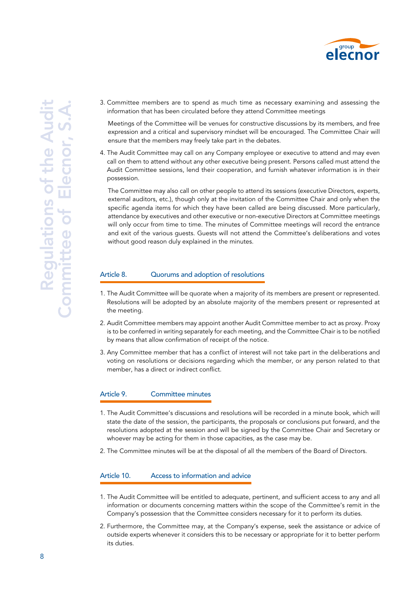

3. Committee members are to spend as much time as necessary examining and assessing the information that has been circulated before they attend Committee meetings

Meetings of the Committee will be venues for constructive discussions by its members, and free expression and a critical and supervisory mindset will be encouraged. The Committee Chair will ensure that the members may freely take part in the debates.

4. The Audit Committee may call on any Company employee or executive to attend and may even call on them to attend without any other executive being present. Persons called must attend the Audit Committee sessions, lend their cooperation, and furnish whatever information is in their possession.

The Committee may also call on other people to attend its sessions (executive Directors, experts, external auditors, etc.), though only at the invitation of the Committee Chair and only when the specific agenda items for which they have been called are being discussed. More particularly, attendance by executives and other executive or non-executive Directors at Committee meetings will only occur from time to time. The minutes of Committee meetings will record the entrance and exit of the various guests. Guests will not attend the Committee's deliberations and votes without good reason duly explained in the minutes.

## Article 8. Cuorums and adoption of resolutions

- 1. The Audit Committee will be quorate when a majority of its members are present or represented. Resolutions will be adopted by an absolute majority of the members present or represented at the meeting.
- 2. Audit Committee members may appoint another Audit Committee member to act as proxy. Proxy is to be conferred in writing separately for each meeting, and the Committee Chair is to be notified by means that allow confirmation of receipt of the notice.
- 3. Any Committee member that has a conflict of interest will not take part in the deliberations and voting on resolutions or decisions regarding which the member, or any person related to that member, has a direct or indirect conflict.

## Article 9. Committee minutes

- 1. The Audit Committee's discussions and resolutions will be recorded in a minute book, which will state the date of the session, the participants, the proposals or conclusions put forward, and the resolutions adopted at the session and will be signed by the Committee Chair and Secretary or whoever may be acting for them in those capacities, as the case may be.
- 2. The Committee minutes will be at the disposal of all the members of the Board of Directors.

## Article 10. Access to information and advice

- 1. The Audit Committee will be entitled to adequate, pertinent, and sufficient access to any and all information or documents concerning matters within the scope of the Committee's remit in the Company's possession that the Committee considers necessary for it to perform its duties.
- 2. Furthermore, the Committee may, at the Company's expense, seek the assistance or advice of outside experts whenever it considers this to be necessary or appropriate for it to better perform its duties.